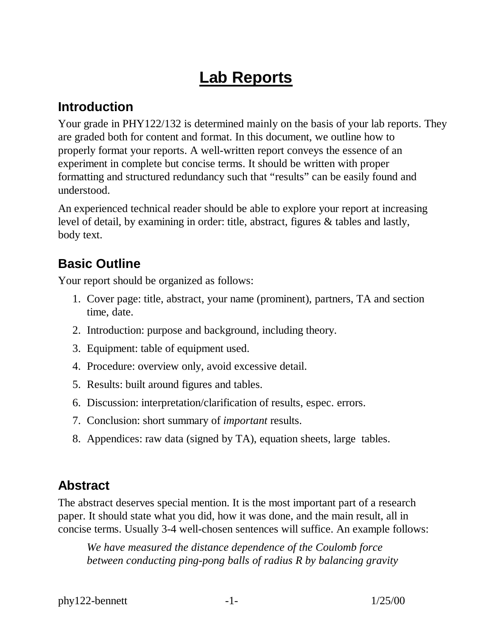# **Lab Reports**

#### **Introduction**

Your grade in PHY122/132 is determined mainly on the basis of your lab reports. They are graded both for content and format. In this document, we outline how to properly format your reports. A well-written report conveys the essence of an experiment in complete but concise terms. It should be written with proper formatting and structured redundancy such that "results" can be easily found and understood.

An experienced technical reader should be able to explore your report at increasing level of detail, by examining in order: title, abstract, figures & tables and lastly, body text.

# **Basic Outline**

Your report should be organized as follows:

- 1. Cover page: title, abstract, your name (prominent), partners, TA and section time, date.
- 2. Introduction: purpose and background, including theory.
- 3. Equipment: table of equipment used.
- 4. Procedure: overview only, avoid excessive detail.
- 5. Results: built around figures and tables.
- 6. Discussion: interpretation/clarification of results, espec. errors.
- 7. Conclusion: short summary of *important* results.
- 8. Appendices: raw data (signed by TA), equation sheets, large tables.

## **Abstract**

The abstract deserves special mention. It is the most important part of a research paper. It should state what you did, how it was done, and the main result, all in concise terms. Usually 3-4 well-chosen sentences will suffice. An example follows:

*We have measured the distance dependence of the Coulomb force between conducting ping-pong balls of radius R by balancing gravity*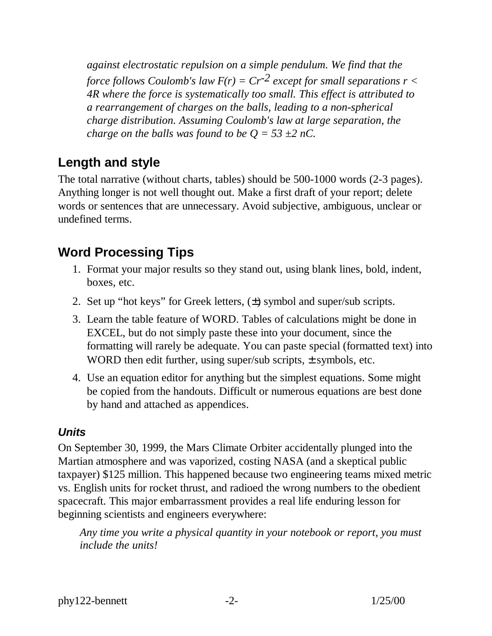*against electrostatic repulsion on a simple pendulum. We find that the force follows Coulomb's law*  $F(r) = Cr^{-2}$  *except for small separations*  $r <$ *4R where the force is systematically too small. This effect is attributed to a rearrangement of charges on the balls, leading to a non-spherical charge distribution. Assuming Coulomb's law at large separation, the charge on the balls was found to be*  $Q = 53 \pm 2 nC$ *.* 

#### **Length and style**

The total narrative (without charts, tables) should be 500-1000 words (2-3 pages). Anything longer is not well thought out. Make a first draft of your report; delete words or sentences that are unnecessary. Avoid subjective, ambiguous, unclear or undefined terms.

#### **Word Processing Tips**

- 1. Format your major results so they stand out, using blank lines, bold, indent, boxes, etc.
- 2. Set up "hot keys" for Greek letters,  $(\pm)$  symbol and super/sub scripts.
- 3. Learn the table feature of WORD. Tables of calculations might be done in EXCEL, but do not simply paste these into your document, since the formatting will rarely be adequate. You can paste special (formatted text) into WORD then edit further, using super/sub scripts,  $\pm$  symbols, etc.
- 4. Use an equation editor for anything but the simplest equations. Some might be copied from the handouts. Difficult or numerous equations are best done by hand and attached as appendices.

#### *Units*

On September 30, 1999, the Mars Climate Orbiter accidentally plunged into the Martian atmosphere and was vaporized, costing NASA (and a skeptical public taxpayer) \$125 million. This happened because two engineering teams mixed metric vs. English units for rocket thrust, and radioed the wrong numbers to the obedient spacecraft. This major embarrassment provides a real life enduring lesson for beginning scientists and engineers everywhere:

*Any time you write a physical quantity in your notebook or report, you must include the units!*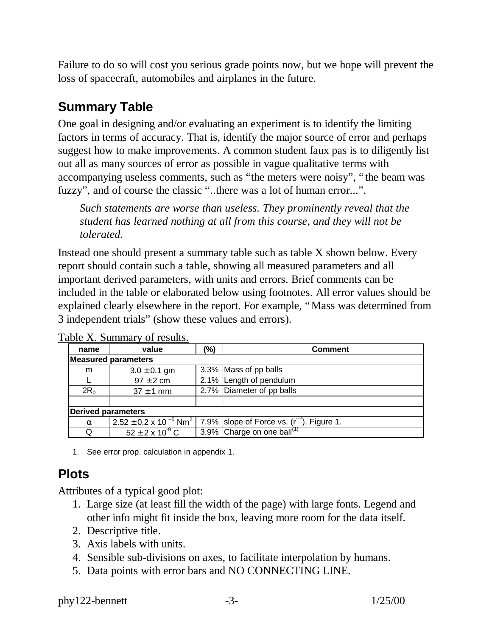Failure to do so will cost you serious grade points now, but we hope will prevent the loss of spacecraft, automobiles and airplanes in the future.

## **Summary Table**

One goal in designing and/or evaluating an experiment is to identify the limiting factors in terms of accuracy. That is, identify the major source of error and perhaps suggest how to make improvements. A common student faux pas is to diligently list out all as many sources of error as possible in vague qualitative terms with accompanying useless comments, such as "the meters were noisy", "the beam was fuzzy", and of course the classic "..there was a lot of human error...".

*Such statements are worse than useless. They prominently reveal that the student has learned nothing at all from this course, and they will not be tolerated.* 

Instead one should present a summary table such as table X shown below. Every report should contain such a table, showing all measured parameters and all important derived parameters, with units and errors. Brief comments can be included in the table or elaborated below using footnotes. All error values should be explained clearly elsewhere in the report. For example, "Mass was determined from 3 independent trials" (show these values and errors).

| name                       | value                       | (%) | <b>Comment</b>                                                                                      |
|----------------------------|-----------------------------|-----|-----------------------------------------------------------------------------------------------------|
| <b>Measured parameters</b> |                             |     |                                                                                                     |
| m                          | $3.0 \pm 0.1$ gm            |     | 3.3% Mass of pp balls                                                                               |
|                            | $97 \pm 2$ cm               |     | 2.1% Length of pendulum                                                                             |
| $2R_0$                     | $37 \pm 1$ mm               |     | 2.7% Diameter of pp balls                                                                           |
|                            |                             |     |                                                                                                     |
| <b>Derived parameters</b>  |                             |     |                                                                                                     |
| $\alpha$                   |                             |     | $2.52 \pm 0.2 \times 10^{-5}$ Nm <sup>2</sup> 7.9% slope of Force vs. (r <sup>-2</sup> ). Figure 1. |
| Q                          | $52 \pm 2 \times 10^{-9}$ C |     | 3.9% Charge on one ball <sup>(1)</sup>                                                              |

Table X. Summary of results.

1. See error prop. calculation in appendix 1.

# **Plots**

Attributes of a typical good plot:

- 1. Large size (at least fill the width of the page) with large fonts. Legend and other info might fit inside the box, leaving more room for the data itself.
- 2. Descriptive title.
- 3. Axis labels with units.
- 4. Sensible sub-divisions on axes, to facilitate interpolation by humans.
- 5. Data points with error bars and NO CONNECTING LINE.